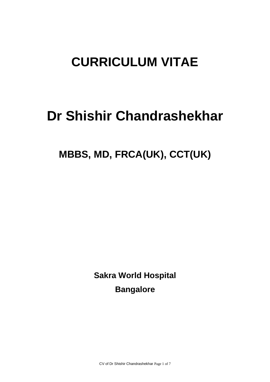# **CURRICULUM VITAE**

# **Dr Shishir Chandrashekhar**

# **MBBS, MD, FRCA(UK), CCT(UK)**

**Sakra World Hospital Bangalore** 

CV of Dr Shishir Chandrashekhar Page 1 of 7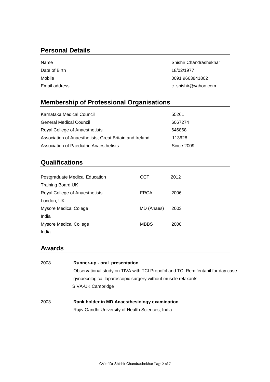## **Personal Details**

| Name          | Shishir Chandrashekhar |
|---------------|------------------------|
| Date of Birth | 18/02/1977             |
| Mobile        | 0091 9663841802        |
| Email address | c_shishir@yahoo.com    |

# **Membership of Professional Organisations**

| Karnataka Medical Council                               | 55261      |
|---------------------------------------------------------|------------|
| General Medical Council                                 | 6067274    |
| Royal College of Anaesthetists                          | 646868     |
| Association of Anaesthetists, Great Britain and Ireland | 113628     |
| Association of Paediatric Anaesthetists                 | Since 2009 |

## **Qualifications**

| Postgraduate Medical Education | CCT         | 2012 |
|--------------------------------|-------------|------|
| <b>Training Board, UK</b>      |             |      |
| Royal College of Anaesthetists | <b>FRCA</b> | 2006 |
| London, UK                     |             |      |
| <b>Mysore Medical Colege</b>   | MD (Anaes)  | 2003 |
| India                          |             |      |
| Mysore Medical College         | <b>MBBS</b> | 2000 |
| India                          |             |      |

## **Awards**

| 2008 | Runner-up - oral presentation                                                   |
|------|---------------------------------------------------------------------------------|
|      | Observational study on TIVA with TCI Propofol and TCI Remifentanil for day case |
|      | gynaecological laparoscopic surgery without muscle relaxants                    |
|      | SIVA-UK Cambridge                                                               |
|      |                                                                                 |
| 2003 | Rank holder in MD Anaesthesiology examination                                   |
|      | Rajiv Gandhi University of Health Sciences, India                               |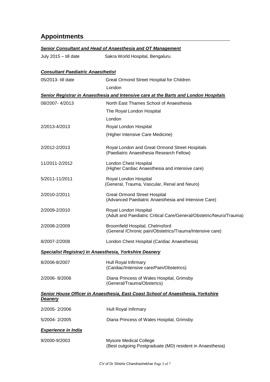# **Appointments**

#### *Senior Consultant and Head of Anaesthesia and OT Management*

July 2015 – till dateSakra World Hospital, Bengaluru

# *Consultant Paediatric Anaesthetist*

05/2013- till date Great Ormond Street Hospital for Children London *Senior Registrar in Anaesthesia and Intensive care at the Barts and London Hospitals* 08/2007- 4/2013 North East Thames School of Anaesthesia The Royal London Hospital London 2/2013-4/2013 Royal London Hospital (Higher Intensive Care Medicine) 2/2012-2/2013 Royal London and Great Ormond Street Hospitals (Paediatric Anaesthesia Research Fellow) 11/2011-2/2012 London Chest Hospital (Higher Cardiac Anaesthesia and intensive care) 5/2011-11/2011 Royal London Hospital (General, Trauma, Vascular, Renal and Neuro) 2/2010-2/2011 Great Ormond Street Hospital (Advanced Paediatric Anaesthesia and Intensive Care) 2/2009-2/2010 Royal London Hospital (Adult and Paediatric Critical Care/General/Obstetric/Neuro/Trauma) 2/2008-2/2009 Broomfield Hospital, Chelmsford (General /Chronic pain/Obstetrics/Trauma/Intensive care) 8/2007-2/2008 London Chest Hospital (Cardiac Anaesthesia) *Specialist Registrar) in Anaesthesia, Yorkshire Deanery* 8/2006-8/2007 Hull Royal Infirmary (Cardiac/Intensive care/Pain/Obstetrics) 2/2006- 8/2006 Diana Princess of Wales Hospital, Grimsby (General/Trauma/Obsterics) *Senior House Officer in Anaesthesia, East Coast School of Anaesthesia, Yorkshire Deanery*

| 2/2005-2/2006              | Hull Royal Infirmary                                                                |
|----------------------------|-------------------------------------------------------------------------------------|
| 5/2004-2/2005              | Diana Princess of Wales Hospital, Grimsby                                           |
| <b>Experience in India</b> |                                                                                     |
| 9/2000-9/2003              | Mysore Medical College<br>(Best outgoing Postgraduate (MD) resident in Anaesthesia) |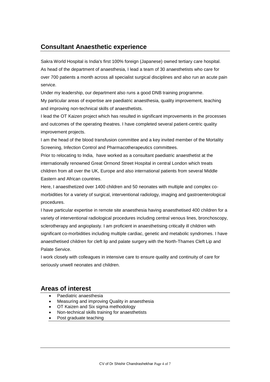#### **Consultant Anaesthetic experience**

Sakra World Hospital is India's first 100% foreign (Japanese) owned tertiary care hospital. As head of the department of anaesthesia, I lead a team of 30 anaesthetists who care for over 700 patients a month across all specialist surgical disciplines and also run an acute pain service.

Under my leadership, our department also runs a good DNB training programme.

My particular areas of expertise are paediatric anaesthesia, quality improvement, teaching and improving non-technical skills of anaesthetists.

I lead the OT Kaizen project which has resulted in significant improvements in the processes and outcomes of the operating theatres. I have completed several patient-centric quality improvement projects.

I am the head of the blood transfusion committee and a key invited member of the Mortality Screening, Infection Control and Pharmacotherapeutics committees.

Prior to relocating to India, have worked as a consultant paediatric anaesthetist at the internationally renowned Great Ormond Street Hospital in central London which treats children from all over the UK, Europe and also international patients from several Middle Eastern and African countries.

Here, I anaesthetized over 1400 children and 50 neonates with multiple and complex comorbidities for a variety of surgical, interventional radiology, imaging and gastroenterological procedures.

I have particular expertise in remote site anaesthesia having anaesthetised 400 children for a variety of interventional radiological procedures including central venous lines, bronchoscopy, sclerotherapy and angioplasty. I am proficient in anaesthetising critically ill children with significant co-morbidities including multiple cardiac, genetic and metabolic syndromes. I have anaesthetised children for cleft lip and palate surgery with the North-Thames Cleft Lip and Palate Service.

I work closely with colleagues in intensive care to ensure quality and continuity of care for seriously unwell neonates and children.

#### **Areas of interest**

- Paediatric anaesthesia
- Measuring and improving Quality in anaesthesia
- OT Kaizen and Six sigma methodology
- Non-technical skills training for anaesthetists
- Post graduate teaching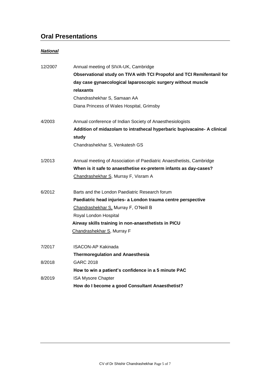# **Oral Presentations**

#### *National*

| 12/2007 | Annual meeting of SIVA-UK, Cambridge                                             |
|---------|----------------------------------------------------------------------------------|
|         | Observational study on TIVA with TCI Propofol and TCI Remifentanil for           |
|         | day case gynaecological laparoscopic surgery without muscle                      |
|         | relaxants                                                                        |
|         | Chandrashekhar S, Samaan AA                                                      |
|         | Diana Princess of Wales Hospital, Grimsby                                        |
| 4/2003  | Annual conference of Indian Society of Anaesthesiologists                        |
|         | Addition of midazolam to intrathecal hyperbaric bupivacaine- A clinical<br>study |
|         | Chandrashekhar S, Venkatesh GS                                                   |
| 1/2013  | Annual meeting of Association of Paediatric Anaesthetists, Cambridge             |
|         | When is it safe to anaesthetise ex-preterm infants as day-cases?                 |
|         | Chandrashekhar S, Murray F, Visram A                                             |
| 6/2012  | Barts and the London Paediatric Research forum                                   |
|         | Paediatric head injuries- a London trauma centre perspective                     |
|         | Chandrashekhar S, Murray F, O'Neill B                                            |
|         | Royal London Hospital                                                            |
|         | Airway skills training in non-anaesthetists in PICU                              |
|         | Chandrashekhar S, Murray F                                                       |
| 7/2017  | <b>ISACON-AP Kakinada</b>                                                        |
|         | <b>Thermoregulation and Anaesthesia</b>                                          |
| 8/2018  | <b>GARC 2018</b>                                                                 |
|         | How to win a patient's confidence in a 5 minute PAC                              |
| 8/2019  | <b>ISA Mysore Chapter</b>                                                        |
|         | How do I become a good Consultant Anaesthetist?                                  |
|         |                                                                                  |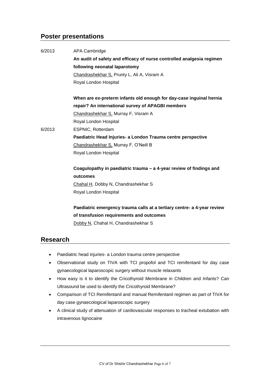#### **Poster presentations**

| 6/2013 | <b>APA Cambridge</b>                                                    |
|--------|-------------------------------------------------------------------------|
|        | An audit of safety and efficacy of nurse controlled analgesia regimen   |
|        | following neonatal laparotomy                                           |
|        | Chandrashekhar S, Prunty L, Ali A, Visram A                             |
|        | Royal London Hospital                                                   |
|        | When are ex-preterm infants old enough for day-case inguinal hernia     |
|        | repair? An international survey of APAGBI members                       |
|        | Chandrashekhar S, Murray F, Visram A                                    |
|        | Royal London Hospital                                                   |
| 6/2013 | ESPNIC, Rotterdam                                                       |
|        | Paediatric Head Injuries- a London Trauma centre perspective            |
|        | Chandrashekhar S, Murray F, O'Neill B                                   |
|        | Royal London Hospital                                                   |
|        | Coagulopathy in paediatric trauma - a 4-year review of findings and     |
|        | outcomes                                                                |
|        | Chahal H, Dobby N, Chandrashekhar S                                     |
|        | Royal London Hospital                                                   |
|        | Paediatric emergency trauma calls at a tertiary centre- a 4-year review |
|        | of transfusion requirements and outcomes                                |
|        | Dobby N, Chahal H, Chandrashekhar S                                     |
|        |                                                                         |

#### **Research**

- Paediatric head injuries- a London trauma centre perspective
- Observational study on TIVA with TCI propofol and TCI remifentanil for day case gynaecological laparoscopic surgery without muscle relaxants
- How easy is it to identify the Cricothyroid Membrane in Children and Infants? Can Ultrasound be used to identify the Cricothyroid Membrane?
- Comparison of TCI Remifentanil and manual Remifentanil regimen as part of TIVA for day case gynaecological laparoscopic surgery
- A clinical study of attenuation of cardiovascular responses to tracheal extubation with intravenous lignocaine